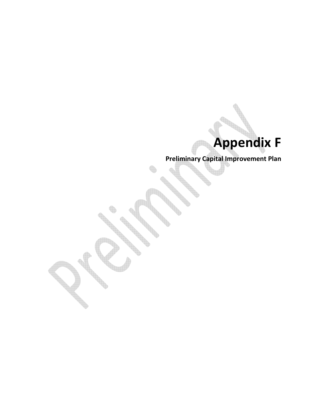# Appendix F

Preliminary Capital Improvement Plan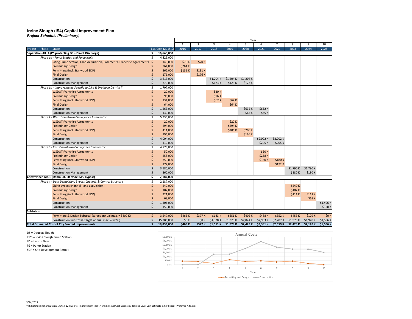## Irvine Slough (IS4) Capital Improvement Plan Project Schedule (Preliminary)

|                                                                           |            |                     |              |                |           |           | Year      |           |           |           |           |          |
|---------------------------------------------------------------------------|------------|---------------------|--------------|----------------|-----------|-----------|-----------|-----------|-----------|-----------|-----------|----------|
|                                                                           |            |                     | $\mathbf{1}$ | $\overline{2}$ | 3         | 4         | 5         | 6         |           | 8         | q         | 10       |
| Project<br>Phase<br><b>Stage</b>                                          |            | Est. Cost (2015 \$) | 2016         | 2017           | 2018      | 2019      | 2020      | 2021      | 2022      | 2023      | 2024      | 2025     |
| Separation Alt. 4 (PS protecting DS + Direct Discharge)                   | Ś.         | 16,646,000          |              |                |           |           |           |           |           |           |           |          |
| Phase 1a - Pump Station and Force Main                                    | \$         | 4,825,000           |              |                |           |           |           |           |           |           |           |          |
| Siting Pump Station, Land Acquisition, Easements, Franchise Agreements \$ |            | 140,000             | \$70K        | \$70K          |           |           |           |           |           |           |           |          |
| <b>Preliminary Design</b>                                                 |            | 264,000             | \$264K       |                |           |           |           |           |           |           |           |          |
| Permitting (incl. Stanwood SDP)                                           |            | 262,000             | \$131K       | \$131K         |           |           |           |           |           |           |           |          |
| <b>Final Design</b>                                                       |            | 176,000             |              | \$176K         |           |           |           |           |           |           |           |          |
| Construction                                                              |            | 3,613,000           |              |                | \$1,204 K | \$1,204 K | \$1,204 K |           |           |           |           |          |
| <b>Construction Management</b>                                            |            | 370,000             |              |                | \$123K    | \$123K    | \$123K    |           |           |           |           |          |
| Phase 1b - Improvements Specific to Dike & Drainage District 7            | Ŝ.         | 1,707,000           |              |                |           |           |           |           |           |           |           |          |
| <b>WSDOT Franchise Agreements</b>                                         | Ś          | 20,000              |              |                | \$20K     |           |           |           |           |           |           |          |
| <b>Preliminary Design</b>                                                 |            | 96,000              |              |                | \$96 K    |           |           |           |           |           |           |          |
| Permitting (incl. Stanwood SDP)                                           |            | 134,000             |              |                | \$67 K    | \$67K     |           |           |           |           |           |          |
| <b>Final Design</b>                                                       |            | 64,000              |              |                |           | \$64 K    |           |           |           |           |           |          |
| Construction                                                              |            | 1,263,000           |              |                |           |           | \$632K    | \$632K    |           |           |           |          |
| <b>Construction Management</b>                                            | Ś          | 130,000             |              |                |           |           | \$65 K    | \$65 K    |           |           |           |          |
| Phase 2 - West Downtown Conveyance Interceptor                            | \$         | 5,335,000           |              |                |           |           |           |           |           |           |           |          |
| <b>WSDOT Franchise Agreements</b>                                         | Ś          | 20,000              |              |                |           | \$20K     |           |           |           |           |           |          |
| <b>Preliminary Design</b>                                                 |            | 294,000             |              |                |           | \$294 K   |           |           |           |           |           |          |
| Permitting (incl. Stanwood SDP)                                           |            | 411,000             |              |                |           | \$206K    | \$206K    |           |           |           |           |          |
| <b>Final Design</b>                                                       |            | 196,000             |              |                |           |           | \$196K    |           |           |           |           |          |
| Construction                                                              |            | 4,004,000           |              |                |           |           |           | \$2,002 K | \$2,002 K |           |           |          |
| <b>Construction Management</b>                                            | $\breve{}$ | 410,000             |              |                |           |           |           | \$205K    | \$205K    |           |           |          |
| Phase 3 - East Downtown Conveyance Interceptor                            | Ŝ.         | 4,779,000           |              |                |           |           |           |           |           |           |           |          |
| <b>WSDOT Franchise Agreements</b>                                         | Ś          | 50,000              |              |                |           |           |           | \$50 K    |           |           |           |          |
| <b>Preliminary Design</b>                                                 |            | 258,000             |              |                |           |           |           | \$258K    |           |           |           |          |
| Permitting (incl. Stanwood SDP)                                           |            | 359,000             |              |                |           |           |           | \$180K    | \$180K    |           |           |          |
| <b>Final Design</b>                                                       |            | 172,000             |              |                |           |           |           |           | \$172K    |           |           |          |
| Construction                                                              |            | 3,580,000           |              |                |           |           |           |           |           | \$1,790 K | \$1,790 K |          |
| <b>Construction Management</b>                                            |            | 360,000             |              |                |           |           |           |           |           | \$180K    | \$180K    |          |
| Conveyance Alt. E (Demo LD, 60' wide ISPS bypass)                         | \$.        | 2,187,000           |              |                |           |           |           |           |           |           |           |          |
| Phase 4 - Dam Demolition, Bypass Channel, & Control Structure             | \$.        | 2,187,000           |              |                |           |           |           |           |           |           |           |          |
| Siting bypass channel (land acquisition)                                  | Ś          | 240,000             |              |                |           |           |           |           |           | \$240K    |           |          |
| <b>Preliminary Design</b>                                                 |            | 102,000             |              |                |           |           |           |           |           | \$102K    |           |          |
| Permitting (incl. Stanwood SDP)                                           |            | 221,000             |              |                |           |           |           |           |           | \$111K    | \$111K    |          |
| <b>Final Design</b>                                                       |            | 68,000              |              |                |           |           |           |           |           |           | \$68K     |          |
| Construction                                                              |            | 1,406,000           |              |                |           |           |           |           |           |           |           | \$1,406K |
| <b>Construction Management</b>                                            |            | 150,000             |              |                |           |           |           |           |           |           |           | \$150K   |
| <b>Subtotals</b>                                                          |            |                     |              |                |           |           |           |           |           |           |           |          |
| Permitting & Design Subtotal (target annual max. = \$400 K)               | \$         | 3,547,000           | \$465K       | \$377K         | \$183K    | \$651K    | \$402K    | \$488K    | \$352K    | \$453K    | \$179K    | \$0 K    |
| Construction Sub-total (target annual max. = \$2M)                        | $\zeta$    | 15,286,000          | \$0 K        | \$0 K          | \$1,328 K | \$1,328 K | \$2,024 K | \$2,903 K | \$2,207 K | \$1,970 K | \$1,970 K | \$1,556K |
| <b>Total Estimated Cost of City Funded Improvements</b>                   | \$         | 18,833,000          | \$465K       | \$377 K        | \$1,511 K | \$1,978 K | \$2,425 K | \$3,391 K | \$2,559 K | \$2,423 K | \$2,149 K | \$1,556K |

DS = Douglas Slough

ISPS = Irvine Slough Pump Station

LD = Larson Dam

PS = Pump Station

SDP = Site Development Permit

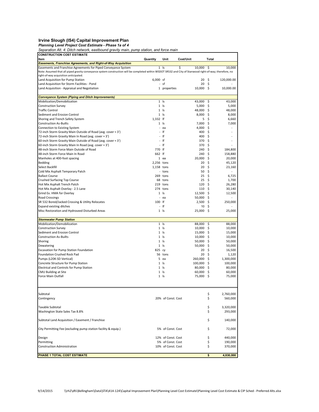Irvine Slough (IS4) Capital Improvement Plan<br>Planning Level Project Cost Estimate - Phase 1a of 4<br>Separation Alt. 4: Ditch network, eastbound gravity main, pump station, and force main

| <b>CONSTRUCTION COST ESTIMATE</b>                                                                                                                                                                  |                          |                     |                   |             |                   |
|----------------------------------------------------------------------------------------------------------------------------------------------------------------------------------------------------|--------------------------|---------------------|-------------------|-------------|-------------------|
| Item                                                                                                                                                                                               | Quantity                 | Unit                | Cost/Unit         | Total       |                   |
| <b>Easements, Franchise Agreements, and Right-of-Way Acquisition</b>                                                                                                                               |                          |                     |                   |             |                   |
| Easements and Franchise Agreements for Piped Conveyance System                                                                                                                                     |                          | $1$ Is              | \$<br>10,000      | -Ś          | 10,000            |
| Note: Assumed that all piped gravity conveyance system construction will be completed within WSDOT SR532 and City of Stanwood right-of-way; therefore, no<br>right-of-way acquisition anticipated. |                          |                     |                   |             |                   |
| Land Acquisition for Pump Station                                                                                                                                                                  | $6,000$ sf               |                     | 20                | -\$         | 120,000.00        |
| Land Acquisition for Storm Facilities - Pond                                                                                                                                                       |                          | - sf                | 20                | -\$         |                   |
| Land Acquisition - Appraisal and Negotiation                                                                                                                                                       |                          | 1 properties        | 10,000 \$         |             | 10,000.00         |
|                                                                                                                                                                                                    |                          |                     |                   |             |                   |
| <b>Conveyance System (Piping and Ditch Improvements)</b>                                                                                                                                           |                          |                     |                   |             |                   |
| Mobilization/Demobilization                                                                                                                                                                        |                          | $1$ Is              | 43,000            | -\$         | 43,000            |
| <b>Construction Survey</b>                                                                                                                                                                         |                          | $1$ $ s$            | 5,000             | Ŝ.          | 5,000             |
| <b>Traffic Control</b>                                                                                                                                                                             |                          | $1$ Is              | 48,000            | -\$         | 48,000            |
| Sediment and Erosion Control                                                                                                                                                                       |                          | $1$ Is              | 8,000             | -\$         | 8,000             |
| Shoring and Trench Safety System                                                                                                                                                                   | 1,332 lf                 |                     | 5                 | \$          | 6,660             |
| <b>Construction As-Builts</b>                                                                                                                                                                      |                          | $1$ Is              | 7,000             | \$          | 7,000             |
| Connection to Existing System<br>72-inch Storm Gravity Main Outside of Road (avg. cover ≈ 3')                                                                                                      | $\bar{a}$                | - ea<br>lf          | 4,000<br>400      | \$<br>\$    |                   |
| 72-inch Storm Gravity Main In Road (avg. cover ≈ 3')                                                                                                                                               |                          | - If                | 400               | -\$         |                   |
| 60-inch Storm Gravity Main Outside of Road (avg. cover $\approx 3'$ )                                                                                                                              |                          | lf                  | 370               | \$          |                   |
| 60-inch Storm Gravity Main In Road (avg. cover ≈ 3')                                                                                                                                               |                          | $-$ If              | 370               | -\$         |                   |
| 48-inch Storm Force Main Outside of Road                                                                                                                                                           | 770 lf                   |                     | 240               | \$          | 184,800           |
| 48-inch Storm Force Main In Road                                                                                                                                                                   | 662 If                   |                     | 240               | \$          | 158,880           |
| Manholes at 400-foot spacing                                                                                                                                                                       |                          | 1 ea                | 20,000            | -\$         | 20,000            |
| <b>Bedding</b>                                                                                                                                                                                     | 2,256 tons               |                     | 20                | \$          | 45,120            |
| Select Backfill                                                                                                                                                                                    | 1,158 tons               |                     | 20                | \$          | 23,160            |
| Cold Mix Asphalt Temporary Patch                                                                                                                                                                   |                          | - tons              | 50                | \$          |                   |
| <b>Ballast Course</b>                                                                                                                                                                              |                          | 269 tons            | 25                | \$          | 6,725             |
| Crushed Surfacing Top Course                                                                                                                                                                       |                          | 68 tons             | 25                | - \$        | 1,700             |
| Hot Mix Asphalt Trench Patch                                                                                                                                                                       |                          | 219 tons            | 120               | \$          | 26,280            |
| Hot Mix Asphalt Overlay - 2.5 Lane                                                                                                                                                                 |                          | 274 tons            |                   | 110S        | 30,140            |
| Grind Ex. HMA for Overlay                                                                                                                                                                          |                          | $1 \leq$            | 12,500            | -\$         | 12,500            |
| <b>Road Crossings</b>                                                                                                                                                                              |                          | - ea                | 50,000            | -\$         |                   |
| SR 532 Bored/Jacked Crossing & Utility Relocates                                                                                                                                                   | 100 lf<br>$\blacksquare$ | lf                  | 2,500             | -\$         | 250,000           |
| <b>Expand existing ditches</b><br>Misc Restoration and Hydroseed Disturbed Areas                                                                                                                   |                          | $1$ Is              | 10<br>25,000      | \$<br>-\$   | 25,000            |
|                                                                                                                                                                                                    |                          |                     |                   |             |                   |
| <b>Stormwater Pump Station</b>                                                                                                                                                                     |                          |                     |                   |             |                   |
| Mobilization/Demobilization                                                                                                                                                                        |                          | $1$ $ s$            | 88,000            | -\$         | 88,000            |
| <b>Construction Survey</b>                                                                                                                                                                         |                          | $1$ $ s$            | 10,000            | -\$         | 10,000            |
| Sediment and Erosion Control                                                                                                                                                                       |                          | $1$ Is              | 15,000            | -\$         | 15,000            |
| <b>Construction As-Builts</b>                                                                                                                                                                      |                          | $1 \leq$            | 10,000            | -\$         | 10,000            |
| Shoring                                                                                                                                                                                            | 1                        | ls                  | 50,000            | \$          | 50,000            |
| Dewatering                                                                                                                                                                                         |                          | $1$ Is              | 50,000            | -\$         | 50,000            |
| Excavation for Pump Station Foundation                                                                                                                                                             | 825 cy                   |                     | 20                | \$          | 16,500            |
| Foundation Crushed Rock Pad                                                                                                                                                                        |                          | 56 tons             | 20                | -\$         | 1,120             |
| Pumps (L20K-SD Vertical)                                                                                                                                                                           |                          | 5 ea                | 260.000           | - \$<br>-\$ | 1,300,000         |
| Concrete Structure for Pump Station<br>Electrical and Controls for Pump Station                                                                                                                    |                          | $1 \;$ Is<br>$1$ Is | 100,000<br>80,000 | -\$         | 100,000<br>80,000 |
| <b>CMU Building at Site</b>                                                                                                                                                                        | 1                        | ls                  | 60,000            | \$          | 60,000            |
| Force Main Outfall                                                                                                                                                                                 |                          | $1$ Is              | 75,000            | -\$         | 75,000            |
|                                                                                                                                                                                                    |                          |                     |                   |             |                   |
| Subtotal                                                                                                                                                                                           |                          |                     |                   | \$          | 2,760,000         |
| Contingency                                                                                                                                                                                        |                          | 20% of Const. Cost  |                   | \$          | 560,000           |
|                                                                                                                                                                                                    |                          |                     |                   |             |                   |
| Taxable Subtotal                                                                                                                                                                                   |                          |                     |                   | \$          | 3,320,000         |
| Washington State Sales Tax 8.8%                                                                                                                                                                    |                          |                     |                   | \$          | 293,000           |
| Subtotal Land Acquisition / Easement / Franchise                                                                                                                                                   |                          |                     |                   | \$          | 140,000           |
| City Permitting Fee (excluding pump station facility & equip.)                                                                                                                                     |                          | 5% of Const. Cost   |                   | \$          | 72,000            |
| Design                                                                                                                                                                                             |                          | 12% of Const. Cost  |                   | \$          | 440,000           |
| Permitting                                                                                                                                                                                         |                          | 5% of Const. Cost   |                   | \$          | 190,000           |
| <b>Construction Administration</b>                                                                                                                                                                 |                          | 10% of Const. Cost  |                   | \$          | 370,000           |
|                                                                                                                                                                                                    |                          |                     |                   |             |                   |
| PHASE 1 TOTAL COST ESTIMATE                                                                                                                                                                        |                          |                     |                   | \$          | 4,830,000         |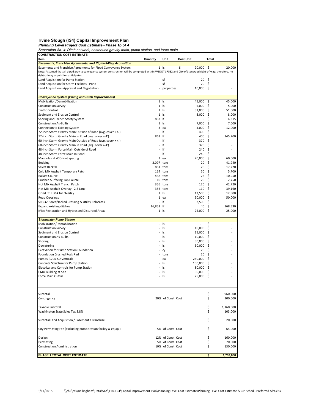### Irvine Slough (IS4) Capital Improvement Plan

Planning Level Project Cost Estimate - Phase 1b of 4

Separation Alt. 4: Ditch network, eastbound gravity main, pump station, and force main

| <b>CONSTRUCTION COST ESTIMATE</b>                                                                                                                                                                  |                          |                      |                  |          |                          |
|----------------------------------------------------------------------------------------------------------------------------------------------------------------------------------------------------|--------------------------|----------------------|------------------|----------|--------------------------|
| Item                                                                                                                                                                                               | Quantity                 | Unit                 | Cost/Unit        | Total    |                          |
| <b>Easements, Franchise Agreements, and Right-of-Way Acquisition</b>                                                                                                                               |                          |                      |                  |          |                          |
| Easements and Franchise Agreements for Piped Conveyance System                                                                                                                                     |                          | $1$ Is               | \$<br>20,000     | -\$      | 20,000                   |
| Note: Assumed that all piped gravity conveyance system construction will be completed within WSDOT SR532 and City of Stanwood right-of-way; therefore, no<br>right-of-way acquisition anticipated. |                          |                      |                  |          |                          |
| Land Acquisition for Pump Station                                                                                                                                                                  |                          | - sf                 | 20               | Ŝ.       |                          |
| Land Acquisition for Storm Facilities - Pond                                                                                                                                                       |                          | - sf                 | 20               | -\$      |                          |
| Land Acquisition - Appraisal and Negotiation                                                                                                                                                       |                          | properties           | $10,000 \quad $$ |          |                          |
|                                                                                                                                                                                                    |                          |                      |                  |          |                          |
| <b>Conveyance System (Piping and Ditch Improvements)</b>                                                                                                                                           |                          |                      |                  |          |                          |
| Mobilization/Demobilization                                                                                                                                                                        |                          | $1$ Is               | 45,000           | \$       | 45,000                   |
| <b>Construction Survey</b>                                                                                                                                                                         |                          | $1$ $ s$             | 5,000            | Ŝ.       | 5,000                    |
| <b>Traffic Control</b>                                                                                                                                                                             |                          | $1$ $ s$             | 51,000           | \$       | 51.000                   |
| Sediment and Erosion Control                                                                                                                                                                       |                          | $1$ Is               | $8,000$ \$       |          | 8,000                    |
| Shoring and Trench Safety System                                                                                                                                                                   | 863 If                   |                      | 5                | \$       | 4,315                    |
| <b>Construction As-Builts</b>                                                                                                                                                                      |                          | $1$ Is               | 7,000            | \$       | 7,000                    |
| Connection to Existing System                                                                                                                                                                      |                          | 3 ea                 | 4,000            | Ŝ.       | 12,000                   |
| 72-inch Storm Gravity Main Outside of Road (avg. cover ≈ 4')                                                                                                                                       | $\blacksquare$           | lf                   | 400              | \$       |                          |
| 72-inch Storm Gravity Main In Road (avg. cover ≈ 4')                                                                                                                                               | 863 If                   |                      | 400 \$           |          | 345,200                  |
| 60-inch Storm Gravity Main Outside of Road (avg. cover $\approx 4'$ )                                                                                                                              |                          | - If                 | 370              | \$       |                          |
| 60-inch Storm Gravity Main In Road (avg. cover ≈ 4')                                                                                                                                               | $\blacksquare$           | lf                   | 370 \$           |          |                          |
| 48-inch Storm Force Main Outside of Road                                                                                                                                                           | ä,                       | lf                   | 240              | Ŝ.       |                          |
| 48-inch Storm Force Main In Road                                                                                                                                                                   | $\blacksquare$           | lf                   | 240              | \$       |                          |
| Manholes at 400-foot spacing                                                                                                                                                                       |                          | 3 ea                 | $20,000$ \$      |          | 60,000                   |
| <b>Bedding</b>                                                                                                                                                                                     | 2,097 tons               |                      | 20               | \$       | 41,940                   |
| Select Backfill                                                                                                                                                                                    |                          | 861 tons             | 20<br>50         | \$       | 17,220                   |
| Cold Mix Asphalt Temporary Patch                                                                                                                                                                   |                          | 114 tons             |                  | \$<br>\$ | 5,700                    |
| <b>Ballast Course</b><br>Crushed Surfacing Top Course                                                                                                                                              |                          | 438 tons<br>110 tons | 25<br>$25 \quad$ |          | 10,950<br>2,750          |
| Hot Mix Asphalt Trench Patch                                                                                                                                                                       |                          | 356 tons             | 120              | Ŝ.       | 42,720                   |
| Hot Mix Asphalt Overlay - 2.5 Lane                                                                                                                                                                 |                          | 356 tons             | 110 <sub>5</sub> |          | 39,160                   |
| Grind Ex. HMA for Overlay                                                                                                                                                                          |                          | $1$ $ s $            | $12,500$ \$      |          | 12,500                   |
| <b>Road Crossings</b>                                                                                                                                                                              |                          | 1 ea                 | 50,000           | Ŝ.       | 50,000                   |
| SR 532 Bored/Jacked Crossing & Utility Relocates                                                                                                                                                   |                          | - If                 | $2,500$ \$       |          | $\overline{\phantom{a}}$ |
| <b>Expand existing ditches</b>                                                                                                                                                                     | 16,853 lf                |                      | 10               | \$       | 168,530                  |
| Misc Restoration and Hydroseed Disturbed Areas                                                                                                                                                     |                          | $1$ Is               | 25,000           | -\$      | 25,000                   |
|                                                                                                                                                                                                    |                          |                      |                  |          |                          |
| <b>Stormwater Pump Station</b>                                                                                                                                                                     |                          |                      |                  |          |                          |
| Mobilization/Demobilization                                                                                                                                                                        |                          | $-$ Is               | $\overline{a}$   | \$       |                          |
| <b>Construction Survey</b>                                                                                                                                                                         | ä,                       | Is                   | 10,000           | \$       |                          |
| Sediment and Erosion Control                                                                                                                                                                       | $\blacksquare$           | Is                   | 15,000           | Ŝ.       |                          |
| <b>Construction As-Builts</b>                                                                                                                                                                      | ٠                        | ls                   | 10,000           | -\$      |                          |
| Shoring                                                                                                                                                                                            |                          | Is                   | 50,000           | \$       |                          |
| Dewatering                                                                                                                                                                                         |                          | - Is                 | $50,000$ \$      |          |                          |
| Excavation for Pump Station Foundation                                                                                                                                                             |                          | cy                   | 20               | Ŝ.       |                          |
| Foundation Crushed Rock Pad                                                                                                                                                                        |                          | tons                 | 20 <sup>5</sup>  |          |                          |
| Pumps (L20K-SD Vertical)                                                                                                                                                                           | $\overline{\phantom{0}}$ | ea                   | 260,000 \$       |          |                          |
| Concrete Structure for Pump Station                                                                                                                                                                |                          | Is                   | $100,000$ \$     |          |                          |
| Electrical and Controls for Pump Station                                                                                                                                                           | $\blacksquare$           | ls                   | $80,000$ \$      |          |                          |
| <b>CMU Building at Site</b>                                                                                                                                                                        | ÷,                       | ls                   | 60,000           | \$       |                          |
| Force Main Outfall                                                                                                                                                                                 | $\blacksquare$           | Is                   | 75,000           | -\$      |                          |
|                                                                                                                                                                                                    |                          |                      |                  |          |                          |
| Subtotal                                                                                                                                                                                           |                          |                      |                  | \$       | 960,000                  |
| Contingency                                                                                                                                                                                        |                          | 20% of Const. Cost   |                  | \$       | 200,000                  |
|                                                                                                                                                                                                    |                          |                      |                  |          |                          |
| Taxable Subtotal                                                                                                                                                                                   |                          |                      |                  | \$       | 1,160,000                |
| Washington State Sales Tax 8.8%                                                                                                                                                                    |                          |                      |                  | \$       | 103,000                  |
| Subtotal Land Acquisition / Easement / Franchise                                                                                                                                                   |                          |                      |                  | \$       | 20,000                   |
|                                                                                                                                                                                                    |                          |                      |                  |          |                          |
| City Permitting Fee (excluding pump station facility & equip.)                                                                                                                                     |                          | 5% of Const. Cost    |                  | \$       | 64,000                   |
| Design                                                                                                                                                                                             |                          | 12% of Const. Cost   |                  | \$       | 160,000                  |
| Permitting                                                                                                                                                                                         |                          | 5% of Const. Cost    |                  | \$       | 70,000                   |
| <b>Construction Administration</b>                                                                                                                                                                 |                          | 10% of Const. Cost   |                  | \$       | 130,000                  |
|                                                                                                                                                                                                    |                          |                      |                  |          |                          |
| PHASE 1 TOTAL COST ESTIMATE                                                                                                                                                                        |                          |                      |                  | \$       | 1,710,000                |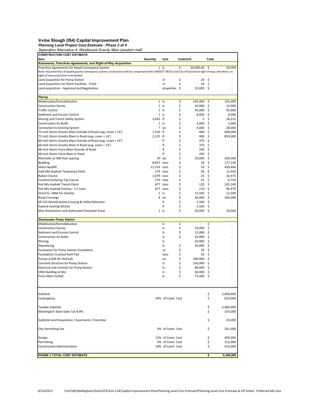#### Irvine Slough (IS4) Capital Improvement Plan

Planning Level Project Cost Estimate - Phase 2 of 4

Separation Alternative 4: Westbound Gravity Main (western half)

| <b>CONSTRUCTION COST ESTIMATE</b>                                                                                                                                                                             |                |                                         |           |                     |           |                    |
|---------------------------------------------------------------------------------------------------------------------------------------------------------------------------------------------------------------|----------------|-----------------------------------------|-----------|---------------------|-----------|--------------------|
| ltem                                                                                                                                                                                                          | Quantity       | Unit                                    | Cost/Unit |                     | Total     |                    |
| Easements, Franchise Agreements, and Right-of-Way Acquisition                                                                                                                                                 |                |                                         |           |                     |           |                    |
| Franchise Agreements for Piped Conveyance System<br>Note: Assumed that all piped gravity conveyance system construction will be completed within WSDOT SR532 and City of Stanwood right-of-way; therefore, no |                | $1$ $\vert s \vert$                     | \$        | 20,000.00           | - Ś       | 20,000             |
| right-of-way acquisition anticipated.                                                                                                                                                                         |                |                                         |           |                     |           |                    |
| Land acquisition for Pump Station                                                                                                                                                                             |                | sf                                      | \$        | 20                  | Ŝ.        |                    |
| Land Acquisition for Storm Facilities - Pond                                                                                                                                                                  |                | sf                                      | \$        | 20                  | Ŝ.        |                    |
| Land acquisition - Appraisal and Negotiation                                                                                                                                                                  |                | properties \$                           |           | 10,000 \$           |           |                    |
|                                                                                                                                                                                                               |                |                                         |           |                     |           |                    |
| <b>Piping</b>                                                                                                                                                                                                 |                |                                         |           |                     |           |                    |
| Mobilization/Demobilization                                                                                                                                                                                   |                | $1$ $\vert s \vert$                     | \$        | 145,000             | \$        | 145,000            |
| <b>Construction Survey</b>                                                                                                                                                                                    |                | $1$ $ s $                               | \$        | 10,000              | Ŝ.        | 10,000             |
| <b>Traffic Control</b>                                                                                                                                                                                        |                | $1$ $ s$                                | \$        | 95,000              | \$        | 95,000             |
| Sediment and Erosion Control                                                                                                                                                                                  |                | $1$ $\vert s \vert$                     | \$        | $8,000$ \$          |           | 8,000              |
| Shoring and Trench Safety System                                                                                                                                                                              | 3.645 lf       |                                         | \$        | 5                   | \$        | 18,225             |
| <b>Construction As-Builts</b>                                                                                                                                                                                 |                | $1$ Is                                  | \$        | 3,000               | \$.       | 3,000              |
| Connection to Existing System                                                                                                                                                                                 |                | 7 ea                                    | \$        | 4,000               | Ŝ.        | 28,000             |
| 72-inch Storm Gravity Main Outside of Road (avg. cover ≈ 14')                                                                                                                                                 | 1,520 lf       |                                         | \$        | 400                 | \$        | 608,000            |
| 72-inch Storm Gravity Main In Road (avg. cover ≈ 14')                                                                                                                                                         | 2,125 If       |                                         | \$        | 400                 | \$        | 850,000            |
| 60-inch Storm Gravity Main Outside of Road (avg. cover $\approx 14'$ )                                                                                                                                        | L.             | If                                      | \$        | 370                 | \$        |                    |
| 60-inch Storm Gravity Main In Road (avg. cover ≈ 14')                                                                                                                                                         | $\overline{a}$ | If                                      | \$        | 370                 | \$.       |                    |
| 48-inch Storm Force Main Outside of Road                                                                                                                                                                      |                | lf                                      | \$        | 240                 | Ŝ         |                    |
| 48-inch Storm Force Main In Road                                                                                                                                                                              | L.             | lf                                      | \$        | 240                 | \$.       |                    |
| Manholes at 400-foot spacing                                                                                                                                                                                  |                | $10$ ea                                 | \$        | $20,000$ \$         |           | 200,000            |
| Bedding                                                                                                                                                                                                       | 8,857 tons     |                                         | \$        | 20                  | \$        | 177,140            |
| Select Backfill                                                                                                                                                                                               | 21,523 tons    |                                         | \$        | 20<br>50            | \$.       | 430,460            |
| Cold Mix Asphalt Temporary Patch                                                                                                                                                                              |                | 279 tons                                | \$<br>\$  |                     | Ŝ.<br>\$  | 13,950<br>26.975   |
| <b>Ballast Course</b><br>Crushed Surfacing Top Course                                                                                                                                                         | 1,079 tons     | 270 tons                                | \$        | 25<br>$25 \quad$ \$ |           | 6,750              |
| Hot Mix Asphalt Trench Patch                                                                                                                                                                                  |                | 877 tons                                | \$        | 120                 | \$        | 105,240            |
| Hot Mix Asphalt Overlay - 2.5 Lane                                                                                                                                                                            |                | 877 tons                                | \$        | 110S                |           | 96,470             |
| Grind Ex. HMA for Overlay                                                                                                                                                                                     |                | $1$ $ s $                               | \$        | $12,500$ \$         |           | 12,500             |
| <b>Road Crossings</b>                                                                                                                                                                                         | 4              | ea                                      | \$        | 50,000              | \$.       | 200,000            |
| SR 532 Bored/Jacked Crossing & Utility Relocates                                                                                                                                                              |                | lf                                      | \$        | $2,500$ \$          |           |                    |
| <b>Expand existing ditches</b>                                                                                                                                                                                |                | lf                                      | \$        | 2,500               | \$        |                    |
| Misc Restoration and Hydroseed Disturbed Areas                                                                                                                                                                |                | $1$ Is                                  | \$        | 20,000              | -\$       | 20,000             |
|                                                                                                                                                                                                               |                |                                         |           |                     |           |                    |
| <b>Stormwater Pump Station</b>                                                                                                                                                                                |                |                                         |           |                     |           |                    |
| Mobilization/Demobilization                                                                                                                                                                                   |                | ls.                                     | \$        | $\overline{a}$      | \$        | ä,                 |
| <b>Construction Survey</b>                                                                                                                                                                                    |                | ls                                      | \$        | 10,000              | \$        |                    |
| Sediment and Erosion Control                                                                                                                                                                                  |                | ls                                      | \$        | 15,000              | \$.       |                    |
| <b>Construction As-Builts</b>                                                                                                                                                                                 |                | ls                                      | \$        | 10,000              | Ŝ.        |                    |
| Shoring                                                                                                                                                                                                       |                | ls                                      |           | 50,000              | \$        |                    |
| Dewatering                                                                                                                                                                                                    |                | ls                                      | \$        | 50,000              | -\$       |                    |
| Excavation for Pump Station Foundation                                                                                                                                                                        |                | cy                                      | \$        | 20                  | \$        |                    |
| Foundation Crushed Rock Pad                                                                                                                                                                                   |                | tons                                    | \$        | 20 <sub>5</sub>     |           |                    |
| Pumps (L20K-SD Vertical)                                                                                                                                                                                      |                | ea                                      | \$        | 260,000 \$          |           |                    |
| Concrete Structure for Pump Station                                                                                                                                                                           |                | ls                                      | \$        | 100,000             | \$.       |                    |
| Electrical and Controls for Pump Station                                                                                                                                                                      |                | ls                                      | \$        | 80,000              | -\$       |                    |
| CMU Building at Site<br>Force Main Outfall                                                                                                                                                                    |                | ls<br>ls                                | \$<br>\$  | 60,000<br>75,000    | \$<br>-\$ |                    |
|                                                                                                                                                                                                               |                |                                         |           |                     |           |                    |
| Subtotal                                                                                                                                                                                                      |                |                                         |           |                     | \$        | 3,060,000          |
| Contingency                                                                                                                                                                                                   |                | 20% of Const. Cost                      |           |                     | \$        | 620,000            |
|                                                                                                                                                                                                               |                |                                         |           |                     |           |                    |
| Taxable Subtotal                                                                                                                                                                                              |                |                                         |           |                     | \$        | 3,680,000          |
| Washington State Sales Tax 8.8%                                                                                                                                                                               |                |                                         |           |                     | \$        | 324,000            |
| Subtotal Land Acquisition / Easements / Franchise                                                                                                                                                             |                |                                         |           |                     | \$        | 20,000             |
| <b>City Permitting Fee</b>                                                                                                                                                                                    |                | 5% of Const. Cost                       |           |                     | \$        | 201,000            |
|                                                                                                                                                                                                               |                |                                         |           |                     |           |                    |
| Design                                                                                                                                                                                                        |                | 12% of Const. Cost<br>5% of Const. Cost |           |                     | \$        | 490,000            |
| Permitting<br>Construction Administration                                                                                                                                                                     |                | 10% of Const. Cost                      |           |                     | \$<br>\$  | 210,000<br>410,000 |
|                                                                                                                                                                                                               |                |                                         |           |                     |           |                    |
| PHASE 2 TOTAL COST ESTIMATE                                                                                                                                                                                   |                |                                         |           |                     | \$        | 5,340,000          |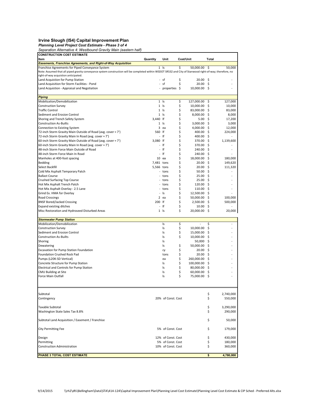Irvine Slough (IS4) Capital Improvement Plan<br>Planning Level Project Cost Estimate - Phase 3 of 4<br>Separation Alternative 4: Westbound Gravity Main (eastern half)

| <b>CONSTRUCTION COST ESTIMATE</b>                                                                                                                                                                             |                |                     |          |                     |       |           |
|---------------------------------------------------------------------------------------------------------------------------------------------------------------------------------------------------------------|----------------|---------------------|----------|---------------------|-------|-----------|
| Item                                                                                                                                                                                                          | Quantity       | Unit                |          | Cost/Unit           | Total |           |
| Easements, Franchise Agreements, and Right-of-Way Acquisition                                                                                                                                                 |                |                     |          |                     |       |           |
| Franchise Agreements for Piped Conveyance System<br>Note: Assumed that all piped gravity conveyance system construction will be completed within WSDOT SR532 and City of Stanwood right-of-way; therefore, no |                | $1$ $ s$            | \$       | 50,000.00           | -\$   | 50,000    |
| right-of-way acquistion anticipated.                                                                                                                                                                          |                |                     |          |                     |       |           |
| Land Acquistion for Pump Station                                                                                                                                                                              | $\blacksquare$ | sf                  | \$       | 20.00               | Ŝ.    |           |
| Land Acquisition for Storm Facilities - Pond                                                                                                                                                                  |                | - sf                | \$       | 20.00%              |       |           |
| Land Acquistion - Appraisal and Negotiation                                                                                                                                                                   |                | properties \$       |          | 10,000.00 \$        |       |           |
|                                                                                                                                                                                                               |                |                     |          |                     |       |           |
| <b>Piping</b>                                                                                                                                                                                                 |                |                     |          |                     |       |           |
| Mobilization/Demobilization                                                                                                                                                                                   |                | $1$ $\vert s \vert$ | \$       | 127,000.00          | -\$   | 127,000   |
| <b>Construction Survey</b>                                                                                                                                                                                    |                | $1$ $ s $           | \$       | 10,000.00           | \$    | 10,000    |
| <b>Traffic Control</b>                                                                                                                                                                                        |                | $1$ Is              | \$       | 83,000.00           | \$    | 83,000    |
| Sediment and Erosion Control                                                                                                                                                                                  |                | $1$ $ s $           | \$       | 8,000.00 \$         |       | 8,000     |
| Shoring and Trench Safety System                                                                                                                                                                              | 3,440 If       |                     | \$       | 5.00 <sup>5</sup>   |       | 17,200    |
| <b>Construction As-Builts</b>                                                                                                                                                                                 |                | $1 \;$ Is           | \$       | $3,000.00$ \$       |       | 3,000     |
| Connection to Existing System                                                                                                                                                                                 |                | 3 ea                | \$       | 4,000.00 \$         |       | 12,000    |
| 72-inch Storm Gravity Main Outside of Road (avg. cover ≈ 7')                                                                                                                                                  | 560 lf         | - If                | \$<br>\$ | 400.00<br>400.00 \$ | Ŝ.    | 224,000   |
| 72-inch Storm Gravity Main In Road (avg. cover ≈ 7')<br>60-inch Storm Gravity Main Outside of Road (avg. cover ≈ 7')                                                                                          | 3,080 lf       |                     | \$       | 370.00 \$           |       | 1,139,600 |
| 60-inch Storm Gravity Main In Road (avg. cover ≈ 7')                                                                                                                                                          |                | lf                  | \$       | 370.00              | -\$   |           |
| 48-inch Storm Force Main Outside of Road                                                                                                                                                                      |                | lf                  | \$       | $240.00$ \$         |       |           |
| 48-inch Storm Force Main In Road                                                                                                                                                                              | $\blacksquare$ | If                  | \$       | 240.00              | -\$   |           |
| Manholes at 400-foot spacing                                                                                                                                                                                  |                | $10$ ea             | \$       | 18,000.00 \$        |       | 180,000   |
| <b>Bedding</b>                                                                                                                                                                                                | 7,481 tons     |                     | \$       | 20.00               | Ŝ.    | 149,620   |
| Select Backfill                                                                                                                                                                                               | 5,566 tons     |                     | \$       | 20.00               | \$.   | 111,320   |
| Cold Mix Asphalt Temporary Patch                                                                                                                                                                              |                | - tons              | \$       | 50.00               | -\$   |           |
| <b>Ballast Course</b>                                                                                                                                                                                         |                | - tons              | \$       | 25.00               | \$    |           |
| <b>Crushed Surfacing Top Course</b>                                                                                                                                                                           |                | tons                | \$       | 25.00%              |       |           |
| Hot Mix Asphalt Trench Patch                                                                                                                                                                                  |                | tons                | \$       | $120.00 \quad$ \$   |       |           |
| Hot Mix Asphalt Overlay - 2.5 Lane                                                                                                                                                                            |                | tons                | \$       | 110.00              | -\$   |           |
| Grind Ex. HMA for Overlay                                                                                                                                                                                     |                | $-$ Is              | \$       | 12,500.00 \$        |       |           |
| <b>Road Crossings</b>                                                                                                                                                                                         |                | 2 ea                | \$       | 50,000.00           | Ŝ.    | 100,000   |
| <b>BNSF Bored/Jacked Crossing</b>                                                                                                                                                                             | 200 If         |                     | \$       | $2,500.00$ \$       |       | 500,000   |
| <b>Expand existing ditches</b>                                                                                                                                                                                | ä,             | lf                  | \$       | 10.00               | Ŝ     |           |
| Misc Restoration and Hydroseed Disturbed Areas                                                                                                                                                                |                | $1 \;$ Is           | \$       | 20,000.00 \$        |       | 20,000    |
| <b>Stormwater Pump Station</b>                                                                                                                                                                                |                |                     |          |                     |       |           |
| Mobilization/Demobilization                                                                                                                                                                                   |                | ls.                 | \$       |                     | \$    |           |
| <b>Construction Survey</b>                                                                                                                                                                                    |                | ls                  | \$       | 10,000.00           | \$    |           |
| Sediment and Erosion Control                                                                                                                                                                                  |                | ls                  | \$       | 15,000.00           | \$    |           |
| <b>Construction As-Builts</b>                                                                                                                                                                                 |                | ls                  | \$       | $10,000.00$ \$      |       |           |
| Shoring                                                                                                                                                                                                       |                | ls                  |          | 50,000              | \$    |           |
| Dewatering                                                                                                                                                                                                    |                | ls                  | \$       | $50,000.00$ \$      |       |           |
| Excavation for Pump Station Foundation                                                                                                                                                                        |                | cy                  | \$       | $20.00$ \$          |       |           |
| Foundation Crushed Rock Pad                                                                                                                                                                                   |                | tons                | \$       | 20.00               | -\$   |           |
| Pumps (L20K-SD Vertical)                                                                                                                                                                                      |                | ea                  | \$       | 260,000.00 \$       |       |           |
| Concrete Structure for Pump Station                                                                                                                                                                           |                | ls                  | \$       | 100,000.00          | \$    |           |
| Electrical and Controls for Pump Station                                                                                                                                                                      |                | ls                  | \$       | 80,000.00 \$        |       |           |
| CMU Building at Site                                                                                                                                                                                          |                | ls                  | \$       | 60,000.00           | \$    |           |
| Force Main Outfall                                                                                                                                                                                            |                | ls                  | \$       | 75,000.00           | -\$   |           |
| Subtotal                                                                                                                                                                                                      |                |                     |          |                     | \$    | 2,740,000 |
| Contingency                                                                                                                                                                                                   |                | 20% of Const. Cost  |          |                     | \$    | 550,000   |
| Taxable Subtotal                                                                                                                                                                                              |                |                     |          |                     | \$    | 3,290,000 |
| Washington State Sales Tax 8.8%                                                                                                                                                                               |                |                     |          |                     | \$    | 290,000   |
| Subtotal Land Acquisition / Easement / Franchise                                                                                                                                                              |                |                     |          |                     | \$    | 50,000    |
| <b>City Permitting Fee</b>                                                                                                                                                                                    |                | 5% of Const. Cost   |          |                     | \$    | 179,000   |
|                                                                                                                                                                                                               |                |                     |          |                     |       |           |
| Design                                                                                                                                                                                                        |                | 12% of Const. Cost  |          |                     | \$    | 430,000   |
| Permitting                                                                                                                                                                                                    |                | 5% of Const. Cost   |          |                     | \$    | 180,000   |
| <b>Construction Administration</b>                                                                                                                                                                            |                | 10% of Const. Cost  |          |                     | \$    | 360,000   |
| PHASE 3 TOTAL COST ESTIMATE                                                                                                                                                                                   |                |                     |          |                     | \$    | 4,780,000 |